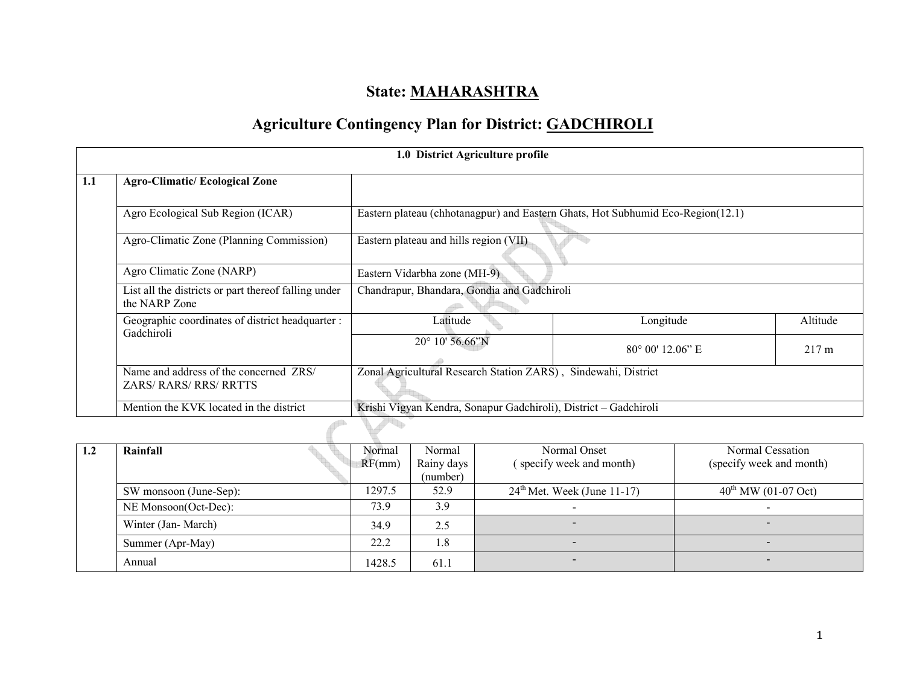# State: MAHARASHTRA

# Agriculture Contingency Plan for District: GADCHIROLI

| 1.0 District Agriculture profile |                                                                       |                                                                  |                                                                                 |                 |  |  |  |  |
|----------------------------------|-----------------------------------------------------------------------|------------------------------------------------------------------|---------------------------------------------------------------------------------|-----------------|--|--|--|--|
|                                  | <b>Agro-Climatic/Ecological Zone</b>                                  |                                                                  |                                                                                 |                 |  |  |  |  |
|                                  | Agro Ecological Sub Region (ICAR)                                     |                                                                  | Eastern plateau (chhotanagpur) and Eastern Ghats, Hot Subhumid Eco-Region(12.1) |                 |  |  |  |  |
|                                  | Agro-Climatic Zone (Planning Commission)                              | Eastern plateau and hills region (VII)                           |                                                                                 |                 |  |  |  |  |
|                                  | Agro Climatic Zone (NARP)                                             | Eastern Vidarbha zone (MH-9)                                     |                                                                                 |                 |  |  |  |  |
|                                  | List all the districts or part thereof falling under<br>the NARP Zone | Chandrapur, Bhandara, Gondia and Gadchiroli                      |                                                                                 |                 |  |  |  |  |
|                                  | Geographic coordinates of district headquarter :                      | Latitude                                                         | Longitude                                                                       | Altitude        |  |  |  |  |
|                                  | Gadchiroli                                                            | 20° 10' 56.66"N                                                  | $80^{\circ}$ 00' 12.06" E                                                       | $217 \text{ m}$ |  |  |  |  |
|                                  | Name and address of the concerned ZRS/<br>ZARS/RARS/RRS/RRTTS         | Zonal Agricultural Research Station ZARS), Sindewahi, District   |                                                                                 |                 |  |  |  |  |
|                                  | Mention the KVK located in the district                               | Krishi Vigyan Kendra, Sonapur Gadchiroli), District - Gadchiroli |                                                                                 |                 |  |  |  |  |
|                                  |                                                                       |                                                                  |                                                                                 |                 |  |  |  |  |

| 1.2 | Rainfall               | Normal | Normal                 | Normal Onset                            | Normal Cessation                |
|-----|------------------------|--------|------------------------|-----------------------------------------|---------------------------------|
|     |                        | RF(mm) | Rainy days<br>(number) | (specify week and month)                | (specify week and month)        |
|     | SW monsoon (June-Sep): | 1297.5 | 52.9                   | $24^{\text{th}}$ Met. Week (June 11-17) | $40^{\text{th}}$ MW (01-07 Oct) |
|     | NE Monsoon(Oct-Dec):   | 73.9   | 3.9                    | $\overline{\phantom{0}}$                |                                 |
|     | Winter (Jan-March)     | 34.9   | 2.5                    | $\overline{\phantom{a}}$                | $\overline{\phantom{0}}$        |
|     | Summer (Apr-May)       | 22.2   | 1.8                    | $\overline{\phantom{0}}$                | $\overline{\phantom{0}}$        |
|     | Annual                 | 1428.5 | 61.1                   | -                                       | $\overline{\phantom{0}}$        |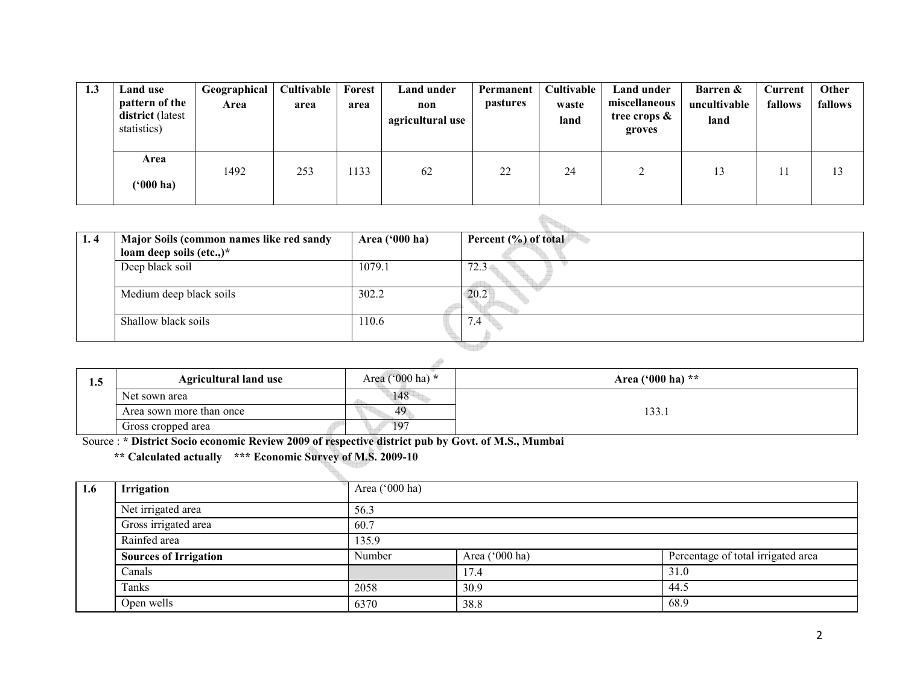| 1.3 | Land use<br>pattern of the<br>district (latest<br>statistics) | Geographical<br>Area | Cultivable<br>area | Forest<br>area | Land under<br>non<br>agricultural use | Permanent<br><i>pastures</i> | Cultivable<br>waste<br>land | Land under<br>miscellaneous<br>tree crops $\&$<br>groves | Barren &<br>uncultivable<br>land | Current<br>fallows | Other<br>fallows |
|-----|---------------------------------------------------------------|----------------------|--------------------|----------------|---------------------------------------|------------------------------|-----------------------------|----------------------------------------------------------|----------------------------------|--------------------|------------------|
|     | Area<br>('000 ha)                                             | 1492                 | 253                | 1133           | 62                                    | 22                           | 24                          | ◠                                                        | 13                               |                    | 13               |

| 1.4 | Major Soils (common names like red sandy<br>loam deep soils (etc.,)* | Area ('000 ha) | Percent (%) of total |
|-----|----------------------------------------------------------------------|----------------|----------------------|
|     | Deep black soil                                                      | 1079.1         | 72.3                 |
|     | Medium deep black soils                                              | 302.2          | 20.2                 |
|     | Shallow black soils                                                  | 110.6          | 7.4                  |
|     |                                                                      |                |                      |

| 1.5 | <b>Agricultural land use</b> | Area ('000 ha) $*$ | Area ('000 ha) $**$ |  |  |  |  |  |
|-----|------------------------------|--------------------|---------------------|--|--|--|--|--|
|     | Net sown area                | 148                |                     |  |  |  |  |  |
|     | Area sown more than once     | 49                 | 133.1               |  |  |  |  |  |
|     | Gross cropped area           | 197                |                     |  |  |  |  |  |

Gross cropped area<br>Source : \* District Socio economic Review 2009 of respective district pub by Govt. of M.S., Mumbai

t.

\*\* Calculated actually \*\*\* Economic Survey of M.S. 2009-10

| 1.6 | <b>Irrigation</b>            | Area $('000 ha)$ |                |                                    |  |  |  |
|-----|------------------------------|------------------|----------------|------------------------------------|--|--|--|
|     | Net irrigated area           | 56.3             |                |                                    |  |  |  |
|     | Gross irrigated area         | 60.7             |                |                                    |  |  |  |
|     | Rainfed area                 | 135.9            |                |                                    |  |  |  |
|     | <b>Sources of Irrigation</b> | Number           | Area ('000 ha) | Percentage of total irrigated area |  |  |  |
|     | Canals                       |                  | 17.4           | 31.0                               |  |  |  |
|     | Tanks                        | 2058             | 30.9           | 44.5                               |  |  |  |
|     | Open wells                   | 6370             | 38.8           | 68.9                               |  |  |  |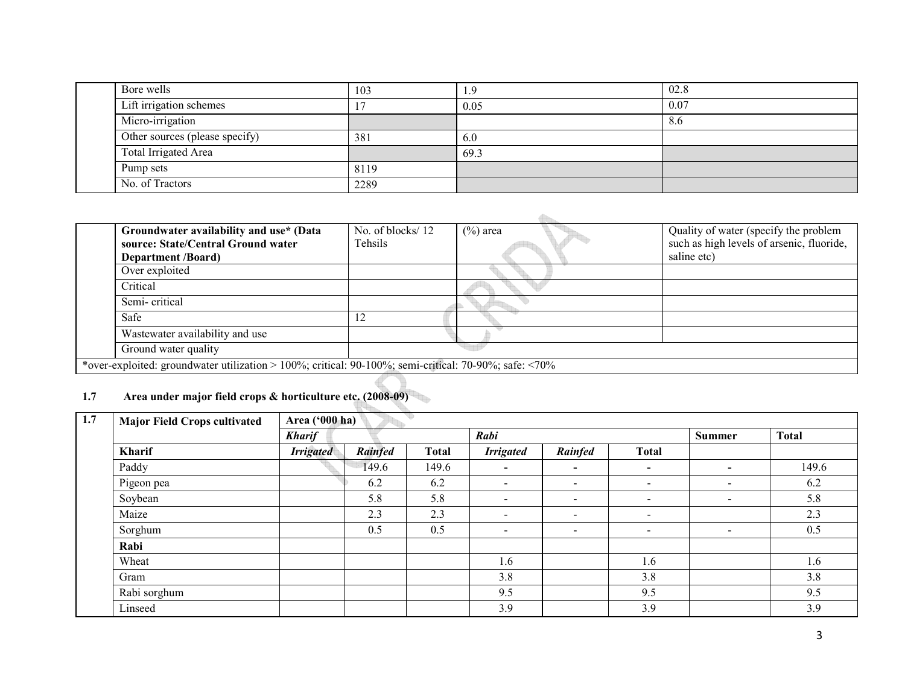| Bore wells                     | 103  | <u>1.9</u> | 02.8 |
|--------------------------------|------|------------|------|
| Lift irrigation schemes        |      | 0.05       | 0.07 |
| Micro-irrigation               |      |            | 8.6  |
| Other sources (please specify) | 381  | 6.0        |      |
| Total Irrigated Area           |      | 69.3       |      |
| Pump sets                      | 8119 |            |      |
| No. of Tractors                | 2289 |            |      |

| Groundwater availability and use* (Data                                                                      | No. of blocks/12 | $(\% )$ area | Quality of water (specify the problem     |
|--------------------------------------------------------------------------------------------------------------|------------------|--------------|-------------------------------------------|
| source: State/Central Ground water                                                                           | Tehsils          |              | such as high levels of arsenic, fluoride, |
| <b>Department</b> <i>(Board)</i>                                                                             |                  |              | saline etc)                               |
| Over exploited                                                                                               |                  |              |                                           |
| Critical                                                                                                     |                  |              |                                           |
| Semi-critical                                                                                                |                  |              |                                           |
| Safe                                                                                                         |                  |              |                                           |
| Wastewater availability and use                                                                              |                  |              |                                           |
| Ground water quality                                                                                         |                  |              |                                           |
| *over-exploited: groundwater utilization > 100%; critical: 90-100%; semi-critical: 70-90%; safe: $\leq 70\%$ |                  |              |                                           |

#### 1.7 Area under major field crops & horticulture etc. (2008-09)

| 1.7 | <b>Major Field Crops cultivated</b> |                  | Area ('000 ha) |              |                          |                          |                          |                          |              |
|-----|-------------------------------------|------------------|----------------|--------------|--------------------------|--------------------------|--------------------------|--------------------------|--------------|
|     |                                     | <b>Kharif</b>    |                |              | Rabi                     |                          |                          | <b>Summer</b>            | <b>Total</b> |
|     | Kharif                              | <b>Irrigated</b> | <b>Rainfed</b> | <b>Total</b> | <b>Irrigated</b>         | Rainfed                  | <b>Total</b>             |                          |              |
|     | Paddy                               |                  | 149.6          | 149.6        | $\overline{\phantom{0}}$ | $\overline{\phantom{0}}$ | $\blacksquare$           | $\blacksquare$           | 149.6        |
|     | Pigeon pea                          |                  | 6.2            | 6.2          | $\qquad \qquad$          | $\overline{\phantom{a}}$ | $\blacksquare$           | $\overline{\phantom{a}}$ | 6.2          |
|     | Soybean                             |                  | 5.8            | 5.8          | $\blacksquare$           | $\overline{\phantom{a}}$ | $\overline{\phantom{a}}$ | $\sim$                   | 5.8          |
|     | Maize                               |                  | 2.3            | 2.3          | $\overline{\phantom{a}}$ | $\sim$                   | $\blacksquare$           |                          | 2.3          |
|     | Sorghum                             |                  | 0.5            | 0.5          | $\overline{\phantom{a}}$ | $\sim$                   | $\blacksquare$           | $\blacksquare$           | 0.5          |
|     | Rabi                                |                  |                |              |                          |                          |                          |                          |              |
|     | Wheat                               |                  |                |              | 1.6                      |                          | 1.6                      |                          | 1.6          |
|     | Gram                                |                  |                |              | 3.8                      |                          | 3.8                      |                          | 3.8          |
|     | Rabi sorghum                        |                  |                |              | 9.5                      |                          | 9.5                      |                          | 9.5          |
|     | Linseed                             |                  |                |              | 3.9                      |                          | 3.9                      |                          | 3.9          |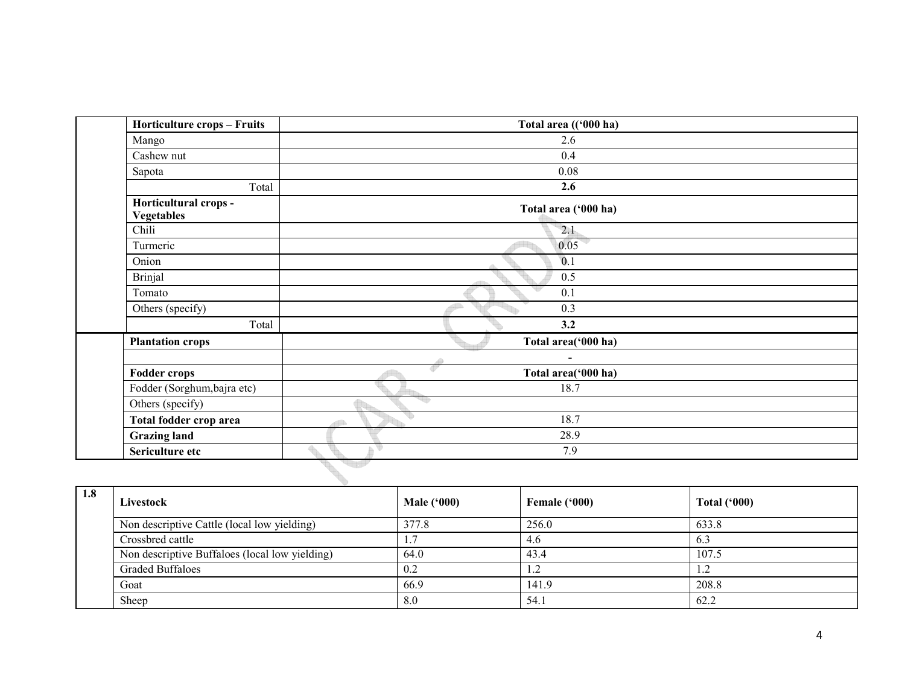| Horticulture crops - Fruits                | Total area (('000 ha)    |  |
|--------------------------------------------|--------------------------|--|
| Mango                                      | 2.6                      |  |
| Cashew nut                                 | 0.4                      |  |
| Sapota                                     | 0.08                     |  |
| Total                                      | 2.6                      |  |
| Horticultural crops -<br><b>Vegetables</b> | Total area ('000 ha)     |  |
| Chili                                      | 2.1                      |  |
| Turmeric                                   | 0.05                     |  |
| Onion                                      | 0.1                      |  |
| <b>Brinjal</b>                             | 0.5                      |  |
| Tomato                                     | 0.1                      |  |
| Others (specify)                           | 0.3                      |  |
| Total                                      | 3.2                      |  |
| <b>Plantation crops</b>                    | Total area('000 ha)      |  |
|                                            | $\overline{\phantom{a}}$ |  |
| <b>Fodder crops</b>                        | ď<br>Total area('000 ha) |  |
| Fodder (Sorghum, bajra etc)                | 18.7                     |  |
| Others (specify)                           | ₩                        |  |
| Total fodder crop area                     | q<br>18.7                |  |
| <b>Grazing land</b>                        | 28.9                     |  |
| Sericulture etc                            | ₩<br>7.9                 |  |
|                                            |                          |  |

| 1.8 | Livestock                                      | <b>Male ('000)</b> | Female ('000) | Total $(900)$                                     |  |  |
|-----|------------------------------------------------|--------------------|---------------|---------------------------------------------------|--|--|
|     | Non descriptive Cattle (local low yielding)    | 377.8              | 256.0         | 633.8                                             |  |  |
|     | Crossbred cattle                               |                    | 4.6           | 6.3                                               |  |  |
|     | Non descriptive Buffaloes (local low yielding) | 64.0               | 43.4          | 107.5                                             |  |  |
|     | <b>Graded Buffaloes</b>                        | 0.2                | 1.2           | 1 <sub>2</sub><br>$\overline{1}$ . $\overline{2}$ |  |  |
|     | Goat                                           | 66.9               | 141.9         | 208.8                                             |  |  |
|     | Sheep                                          | 8.0                | 54.1          | 62.2                                              |  |  |
|     |                                                |                    |               |                                                   |  |  |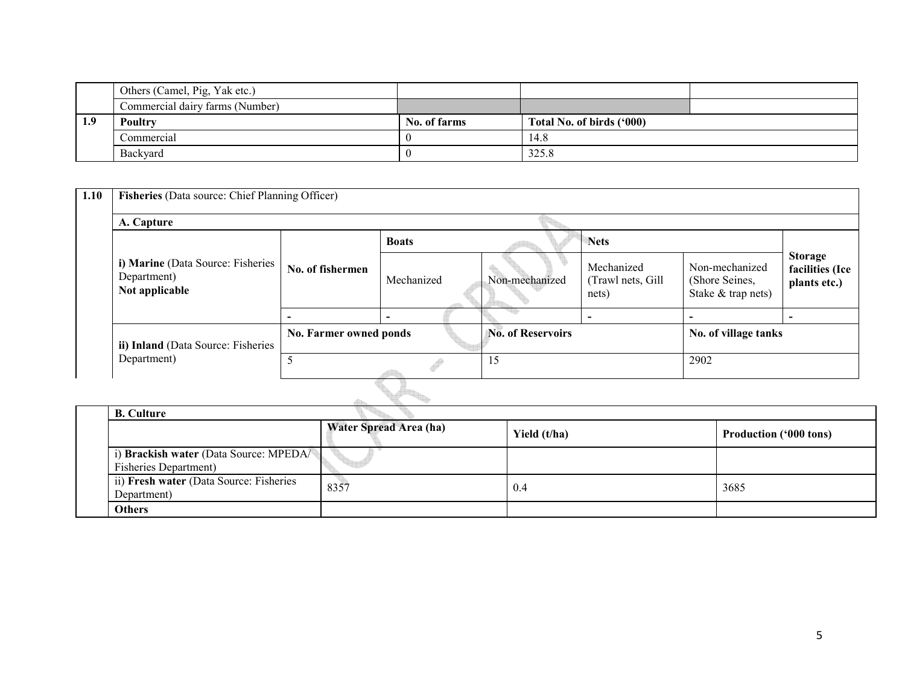|     | Others (Camel, Pig, Yak etc.)   |              |                           |  |  |
|-----|---------------------------------|--------------|---------------------------|--|--|
|     | Commercial dairy farms (Number) |              |                           |  |  |
| 1.9 | Poultry                         | No. of farms | Total No. of birds ('000) |  |  |
|     | Commercial                      |              | 14.8                      |  |  |
|     | Backyard                        |              | 325.8                     |  |  |

| 1.10 | Fisheries (Data source: Chief Planning Officer)                    |                        |              |                          |                                          |                                                        |                                                   |  |
|------|--------------------------------------------------------------------|------------------------|--------------|--------------------------|------------------------------------------|--------------------------------------------------------|---------------------------------------------------|--|
|      | A. Capture                                                         |                        |              |                          |                                          |                                                        |                                                   |  |
|      | i) Marine (Data Source: Fisheries<br>Department)<br>Not applicable |                        | <b>Boats</b> |                          | <b>Nets</b>                              |                                                        |                                                   |  |
|      |                                                                    | No. of fishermen       | Mechanized   | Non-mechanized           | Mechanized<br>(Trawl nets, Gill<br>nets) | Non-mechanized<br>(Shore Seines,<br>Stake & trap nets) | <b>Storage</b><br>facilities (Ice<br>plants etc.) |  |
|      |                                                                    |                        |              |                          |                                          | -                                                      |                                                   |  |
|      | ii) Inland (Data Source: Fisheries                                 | No. Farmer owned ponds |              | <b>No. of Reservoirs</b> |                                          | No. of village tanks                                   |                                                   |  |
|      | Department)                                                        |                        |              | 15                       |                                          | 2902                                                   |                                                   |  |
|      |                                                                    |                        |              |                          |                                          |                                                        |                                                   |  |

| <b>B.</b> Culture                                                       |                               |              |                               |
|-------------------------------------------------------------------------|-------------------------------|--------------|-------------------------------|
|                                                                         | <b>Water Spread Area (ha)</b> | Yield (t/ha) | <b>Production ('000 tons)</b> |
| i) Brackish water (Data Source: MPEDA/<br><b>Fisheries Department</b> ) |                               |              |                               |
| ii) Fresh water (Data Source: Fisheries<br>Department)                  | 8357                          | 0.4          | 3685                          |
| <b>Others</b>                                                           |                               |              |                               |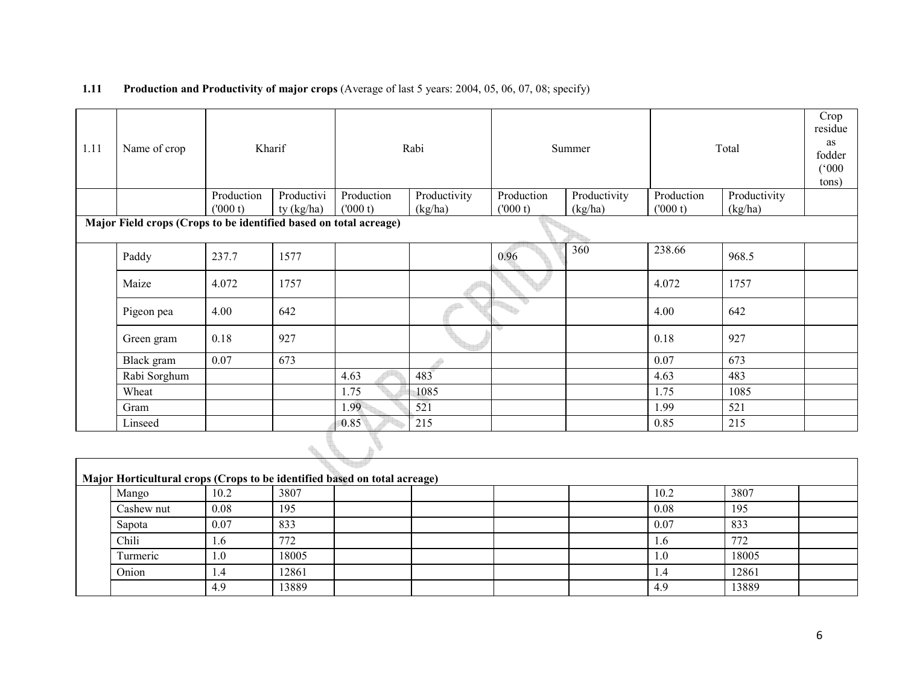#### **1.11** Production and Productivity of major crops (Average of last 5 years: 2004, 05, 06, 07, 08; specify)

| 1.11 | Name of crop                                                      |            | Kharif                       |            | Rabi         |            | Summer       |            | Total        | Crop<br>residue<br>as<br>fodder<br>(000)<br>tons) |
|------|-------------------------------------------------------------------|------------|------------------------------|------------|--------------|------------|--------------|------------|--------------|---------------------------------------------------|
|      |                                                                   | Production | Productivi                   | Production | Productivity | Production | Productivity | Production | Productivity |                                                   |
|      |                                                                   | (000 t)    | ty (kg/ha)                   | (000 t)    | (kg/ha)      | (000 t)    | (kg/ha)      | (000 t)    | (kg/ha)      |                                                   |
|      | Major Field crops (Crops to be identified based on total acreage) |            |                              |            |              |            |              |            |              |                                                   |
|      | Paddy                                                             | 237.7      | 1577                         |            |              | 0.96       | 360          | 238.66     | 968.5        |                                                   |
|      | Maize                                                             | 4.072      | 1757                         |            |              |            |              | 4.072      | 1757         |                                                   |
|      | Pigeon pea                                                        | 4.00       | 642                          |            |              |            |              | 4.00       | 642          |                                                   |
|      | Green gram                                                        | 0.18       | 927                          |            |              | ĸ          |              | 0.18       | 927          |                                                   |
|      | Black gram                                                        | 0.07       | 673                          |            |              |            |              | 0.07       | 673          |                                                   |
|      | Rabi Sorghum                                                      |            |                              | 4.63       | 483          |            |              | 4.63       | 483          |                                                   |
|      | Wheat                                                             |            |                              | 1.75       | 1085         |            |              | 1.75       | 1085         |                                                   |
|      | Gram                                                              |            |                              | 1.99       | 521          |            |              | 1.99       | 521          |                                                   |
|      | Linseed                                                           |            |                              | 0.85       | 215          |            |              | 0.85       | 215          |                                                   |
|      |                                                                   |            | $\mathcal{A}_{\mathbb{R}^n}$ |            |              |            |              |            |              |                                                   |

| Major Horticultural crops (Crops to be identified based on total acreage) |      |       |  |  |  |  |      |       |  |
|---------------------------------------------------------------------------|------|-------|--|--|--|--|------|-------|--|
| Mango                                                                     | 10.2 | 3807  |  |  |  |  | 10.2 | 3807  |  |
| Cashew nut                                                                | 0.08 | 195   |  |  |  |  | 0.08 | 195   |  |
| Sapota                                                                    | 0.07 | 833   |  |  |  |  | 0.07 | 833   |  |
| Chili                                                                     | 1.0  | 772   |  |  |  |  | 1.6  | 772   |  |
| Turmeric                                                                  | 1.0  | 18005 |  |  |  |  | 1.0  | 18005 |  |
| Onion                                                                     | .4   | 12861 |  |  |  |  | 4.4  | 12861 |  |
|                                                                           | 4.9  | 13889 |  |  |  |  | 4.9  | 13889 |  |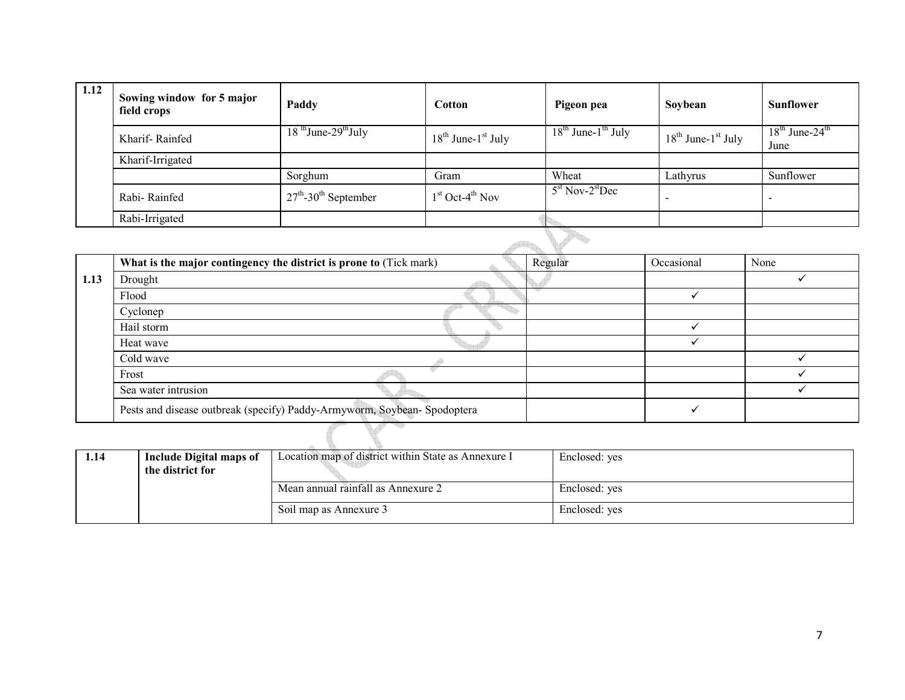| 1.12 | Sowing window for 5 major<br>field crops | Paddy                                         | Cotton                        | Pigeon pea                    | Soybean                       | <b>Sunflower</b>                     |  |  |
|------|------------------------------------------|-----------------------------------------------|-------------------------------|-------------------------------|-------------------------------|--------------------------------------|--|--|
|      | Kharif-Rainfed                           | $18$ <sup>th</sup> June-29 <sup>th</sup> July | $18^{th}$ June- $1^{st}$ July | $18^{th}$ June- $1^{th}$ July | $18^{th}$ June- $1^{st}$ July | $18th$ June-24 <sup>th</sup><br>June |  |  |
|      | Kharif-Irrigated                         |                                               |                               |                               |                               |                                      |  |  |
|      |                                          | Sorghum                                       | Gram                          | Wheat                         | Lathyrus                      | Sunflower                            |  |  |
|      | Rabi-Rainfed                             | $27th$ -30 <sup>th</sup> September            | $1st$ Oct-4 <sup>th</sup> Nov | $5st$ Nov-2 <sup>st</sup> Dec | -                             |                                      |  |  |
|      | Rabi-Irrigated                           |                                               |                               |                               |                               |                                      |  |  |
|      |                                          |                                               |                               |                               |                               |                                      |  |  |

|      | What is the major contingency the district is prone to (Tick mark)       | Regular | Occasional | None |  |  |  |  |
|------|--------------------------------------------------------------------------|---------|------------|------|--|--|--|--|
| 1.13 | Drought                                                                  |         |            |      |  |  |  |  |
|      | Flood                                                                    |         |            |      |  |  |  |  |
|      | Cyclonep                                                                 |         |            |      |  |  |  |  |
|      | Hail storm                                                               |         |            |      |  |  |  |  |
|      | Heat wave                                                                |         |            |      |  |  |  |  |
|      | Cold wave                                                                |         |            |      |  |  |  |  |
|      | Frost                                                                    |         |            |      |  |  |  |  |
|      | Sea water intrusion                                                      |         |            |      |  |  |  |  |
|      | Pests and disease outbreak (specify) Paddy-Armyworm, Soybean- Spodoptera |         |            |      |  |  |  |  |
|      |                                                                          |         |            |      |  |  |  |  |

| 1.14 | <b>Include Digital maps of</b><br>the district for | Location map of district within State as Annexure I | Enclosed: yes |
|------|----------------------------------------------------|-----------------------------------------------------|---------------|
|      |                                                    | Mean annual rainfall as Annexure 2                  | Enclosed: yes |
|      |                                                    | Soil map as Annexure 3                              | Enclosed: yes |

7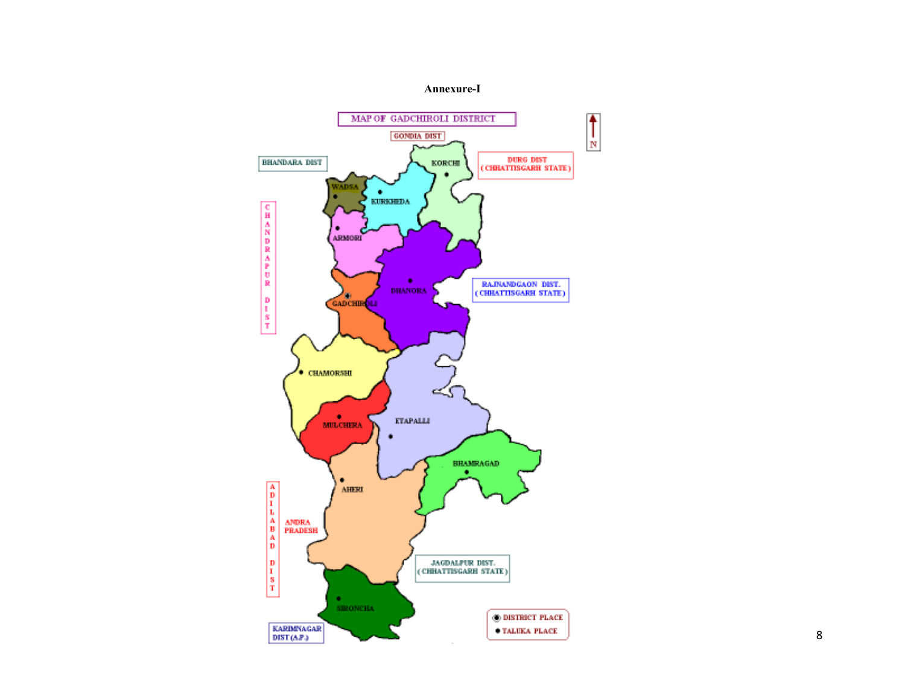#### Annexure-I

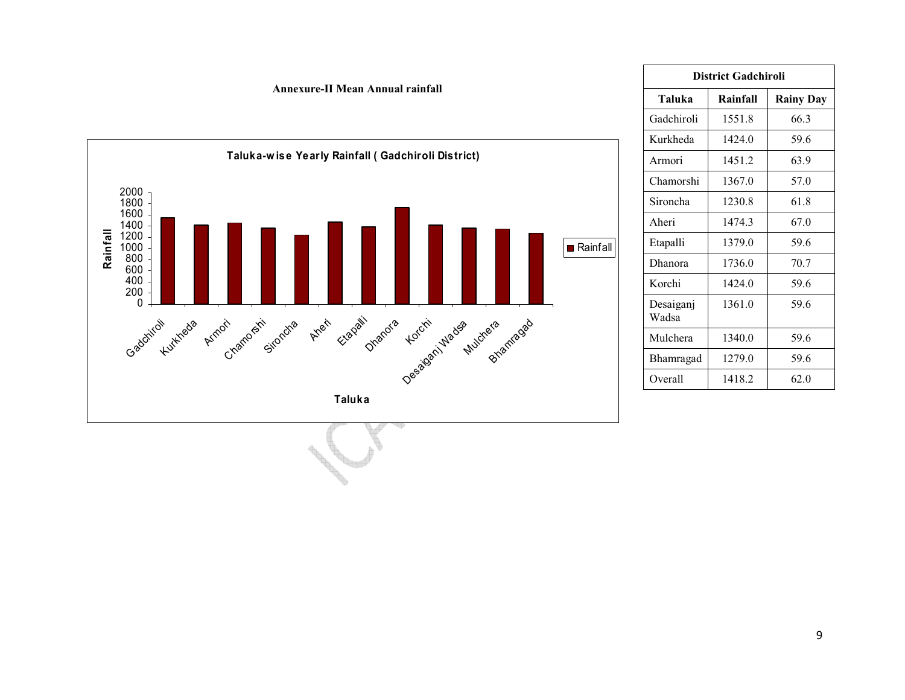

|                    | <b>District Gadchiroli</b> |                  |  |  |  |  |  |
|--------------------|----------------------------|------------------|--|--|--|--|--|
| Taluka             | Rainfall                   | <b>Rainy Day</b> |  |  |  |  |  |
| Gadchiroli         | 1551.8                     | 663              |  |  |  |  |  |
| Kurkheda           | 1424 0                     | 59.6             |  |  |  |  |  |
| Armori             | 14512                      | 63.9             |  |  |  |  |  |
| Chamorshi          | 1367.0                     | 57.0             |  |  |  |  |  |
| Sironcha           | 1230.8                     | 61.8             |  |  |  |  |  |
| Aheri              | 14743                      | 67.0             |  |  |  |  |  |
| Etapalli           | 1379.0                     | 59.6             |  |  |  |  |  |
| Dhanora            | 17360                      | 70.7             |  |  |  |  |  |
| Korchi             | 1424 0                     | 59.6             |  |  |  |  |  |
| Desaiganj<br>Wadsa | 1361 0                     | 59.6             |  |  |  |  |  |
| Mulchera           | 1340.0                     | 59.6             |  |  |  |  |  |
| Bhamragad          | 1279.0                     | 59.6             |  |  |  |  |  |
| Overall            | 1418.2                     | 620              |  |  |  |  |  |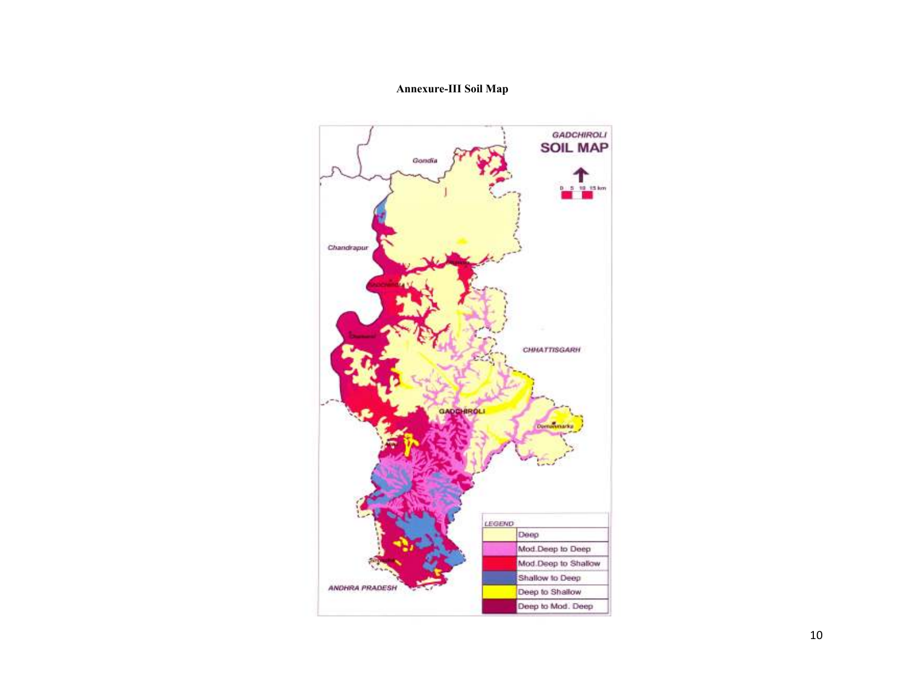# Annexure-III Soil Map

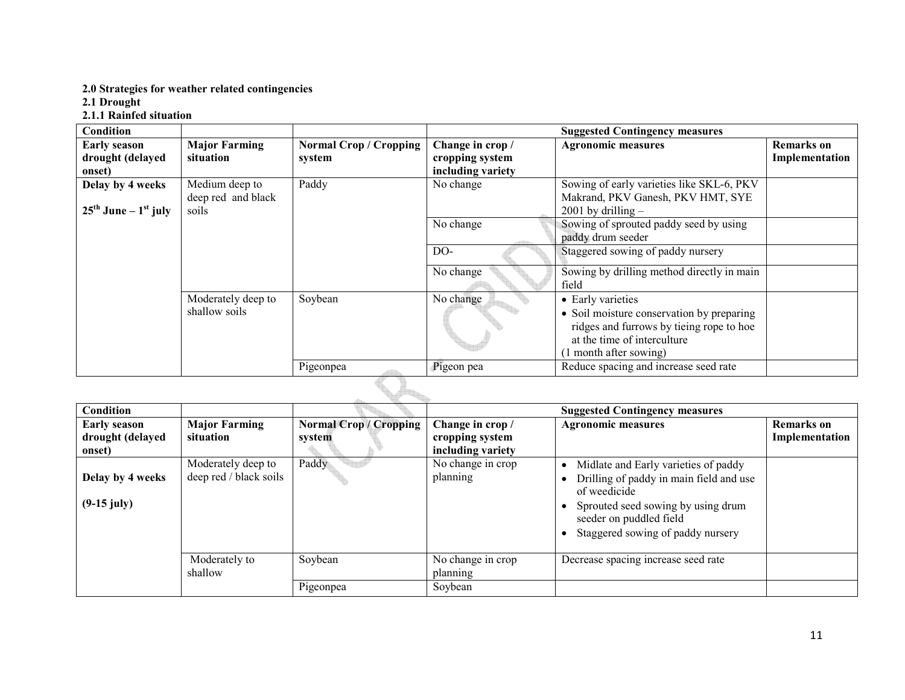# 2.0 Strategies for weather related contingencies

2.1 Drought

#### 2.1.1 Rainfed situation

| Condition                                    |                      |                               |                   | <b>Suggested Contingency measures</b>      |                   |
|----------------------------------------------|----------------------|-------------------------------|-------------------|--------------------------------------------|-------------------|
| <b>Early season</b>                          | <b>Major Farming</b> | <b>Normal Crop / Cropping</b> | Change in crop /  | <b>Agronomic measures</b>                  | <b>Remarks</b> on |
| drought (delayed                             | situation            | system                        | cropping system   |                                            | Implementation    |
| onset)                                       |                      |                               | including variety |                                            |                   |
| Delay by 4 weeks                             | Medium deep to       | Paddy                         | No change         | Sowing of early varieties like SKL-6, PKV  |                   |
|                                              | deep red and black   |                               |                   | Makrand, PKV Ganesh, PKV HMT, SYE          |                   |
| $25^{\text{th}}$ June – $1^{\text{st}}$ july | soils                |                               |                   | $2001$ by drilling $-$                     |                   |
|                                              |                      |                               | No change         | Sowing of sprouted paddy seed by using     |                   |
|                                              |                      |                               |                   | paddy drum seeder                          |                   |
|                                              |                      |                               | $DO-$             | Staggered sowing of paddy nursery          |                   |
|                                              |                      |                               | No change         | Sowing by drilling method directly in main |                   |
|                                              |                      |                               |                   | field                                      |                   |
|                                              | Moderately deep to   | Soybean                       | No change         | • Early varieties                          |                   |
|                                              | shallow soils        |                               |                   | • Soil moisture conservation by preparing  |                   |
|                                              |                      |                               |                   | ridges and furrows by tieing rope to hoe   |                   |
|                                              |                      |                               |                   | at the time of interculture                |                   |
|                                              |                      |                               |                   | 1 month after sowing)                      |                   |
|                                              |                      | Pigeonpea                     | Pigeon pea        | Reduce spacing and increase seed rate      |                   |
|                                              |                      |                               |                   |                                            |                   |

| Condition                                         |                                              |                                         |                                                          | <b>Suggested Contingency measures</b>                                                                                                                                                                 |                                     |
|---------------------------------------------------|----------------------------------------------|-----------------------------------------|----------------------------------------------------------|-------------------------------------------------------------------------------------------------------------------------------------------------------------------------------------------------------|-------------------------------------|
| <b>Early season</b><br>drought (delayed<br>onset) | <b>Major Farming</b><br>situation            | <b>Normal Crop / Cropping</b><br>system | Change in crop /<br>cropping system<br>including variety | <b>Agronomic measures</b>                                                                                                                                                                             | <b>Remarks</b> on<br>Implementation |
| Delay by 4 weeks<br>$(9-15$ july)                 | Moderately deep to<br>deep red / black soils | Paddy                                   | No change in crop<br>planning                            | Midlate and Early varieties of paddy<br>Drilling of paddy in main field and use<br>of weedicide<br>Sprouted seed sowing by using drum<br>seeder on puddled field<br>Staggered sowing of paddy nursery |                                     |
|                                                   | Moderately to<br>shallow                     | Soybean                                 | No change in crop<br>planning                            | Decrease spacing increase seed rate                                                                                                                                                                   |                                     |
|                                                   |                                              | Pigeonpea                               | Soybean                                                  |                                                                                                                                                                                                       |                                     |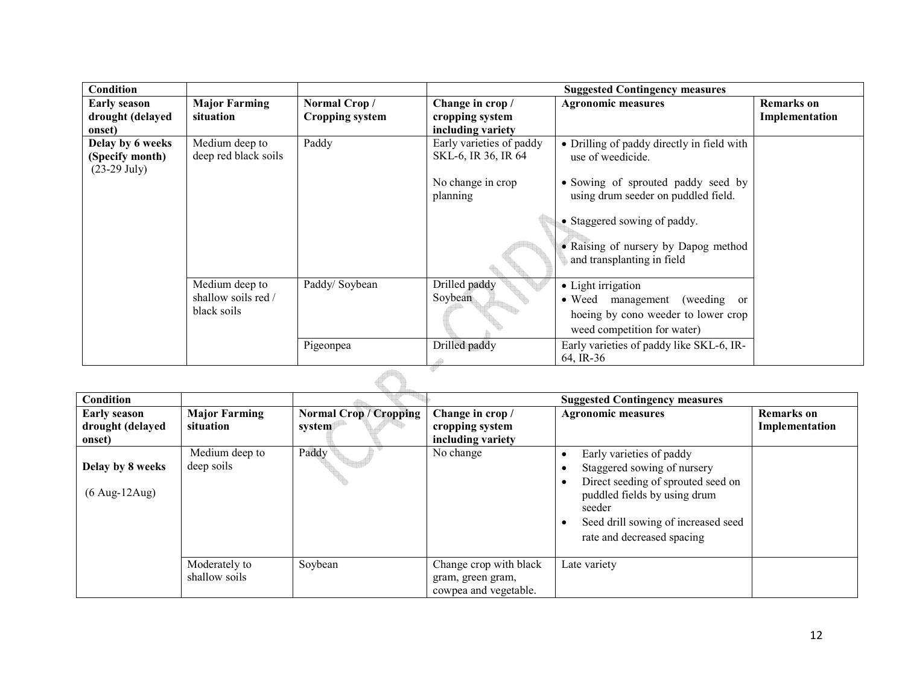| <b>Condition</b>    |                      |                        |                          | <b>Suggested Contingency measures</b>                              |                   |
|---------------------|----------------------|------------------------|--------------------------|--------------------------------------------------------------------|-------------------|
| <b>Early season</b> | <b>Major Farming</b> | Normal Crop/           | Change in crop /         | <b>Agronomic measures</b>                                          | <b>Remarks</b> on |
| drought (delayed    | situation            | <b>Cropping system</b> | cropping system          |                                                                    | Implementation    |
| onset)              |                      |                        | including variety        |                                                                    |                   |
| Delay by 6 weeks    | Medium deep to       | Paddy                  | Early varieties of paddy | • Drilling of paddy directly in field with                         |                   |
| (Specify month)     | deep red black soils |                        | SKL-6, IR 36, IR 64      | use of weedicide.                                                  |                   |
| $(23-29$ July)      |                      |                        |                          |                                                                    |                   |
|                     |                      |                        | No change in crop        | • Sowing of sprouted paddy seed by                                 |                   |
|                     |                      |                        | planning                 | using drum seeder on puddled field.                                |                   |
|                     |                      |                        |                          |                                                                    |                   |
|                     |                      |                        |                          | • Staggered sowing of paddy.                                       |                   |
|                     |                      |                        |                          |                                                                    |                   |
|                     |                      |                        |                          | • Raising of nursery by Dapog method<br>and transplanting in field |                   |
|                     |                      |                        |                          |                                                                    |                   |
|                     | Medium deep to       | Paddy/Soybean          | Drilled paddy            | • Light irrigation                                                 |                   |
|                     | shallow soils red /  |                        | Soybean                  | management (weeding or<br>$\bullet$ Weed                           |                   |
|                     | black soils          |                        |                          | hoeing by cono weeder to lower crop                                |                   |
|                     |                      |                        |                          | weed competition for water)                                        |                   |
|                     |                      |                        |                          |                                                                    |                   |
|                     |                      | Pigeonpea              | Drilled paddy            | Early varieties of paddy like SKL-6, IR-                           |                   |
|                     |                      |                        |                          | 64, IR-36                                                          |                   |
|                     |                      |                        |                          |                                                                    |                   |

| Condition                                          |                                   |                                         |                                                                      | <b>Suggested Contingency measures</b>                                                                                                                                                                        |                                     |
|----------------------------------------------------|-----------------------------------|-----------------------------------------|----------------------------------------------------------------------|--------------------------------------------------------------------------------------------------------------------------------------------------------------------------------------------------------------|-------------------------------------|
| <b>Early season</b><br>drought (delayed<br>onset)  | <b>Major Farming</b><br>situation | <b>Normal Crop / Cropping</b><br>system | Change in crop /<br>cropping system<br>including variety             | <b>Agronomic measures</b>                                                                                                                                                                                    | <b>Remarks</b> on<br>Implementation |
| Delay by 8 weeks<br>$(6 \text{ Aug-}12\text{Aug})$ | Medium deep to<br>deep soils      | Paddy                                   | No change                                                            | Early varieties of paddy<br>Staggered sowing of nursery<br>Direct seeding of sprouted seed on<br>puddled fields by using drum<br>seeder<br>Seed drill sowing of increased seed<br>rate and decreased spacing |                                     |
|                                                    | Moderately to<br>shallow soils    | Soybean                                 | Change crop with black<br>gram, green gram,<br>cowpea and vegetable. | Late variety                                                                                                                                                                                                 |                                     |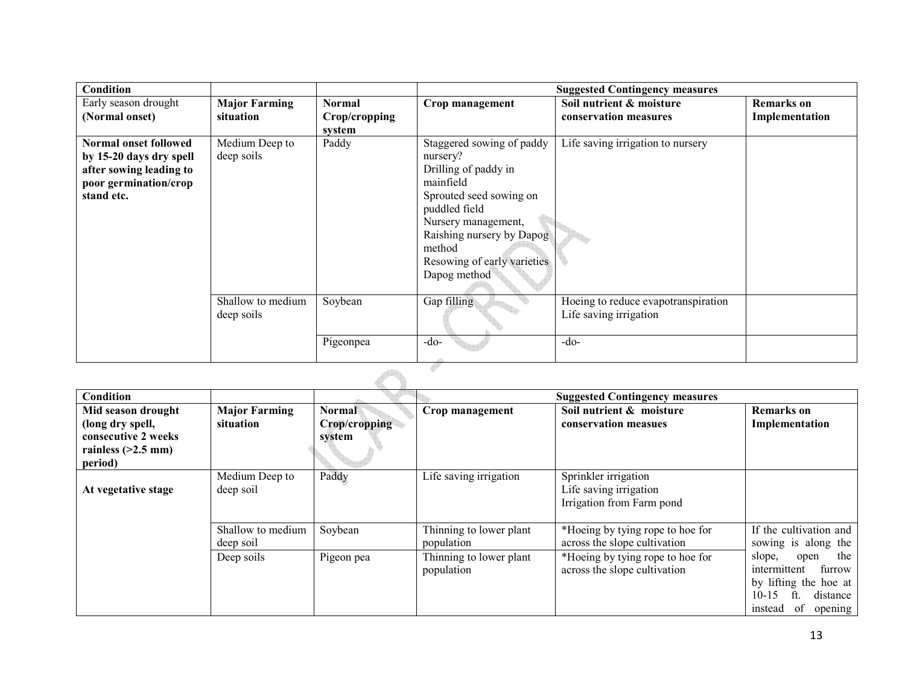| Condition               |                      |               |                             | <b>Suggested Contingency measures</b> |                   |
|-------------------------|----------------------|---------------|-----------------------------|---------------------------------------|-------------------|
| Early season drought    | <b>Major Farming</b> | <b>Normal</b> | Crop management             | Soil nutrient & moisture              | <b>Remarks</b> on |
| (Normal onset)          | situation            | Crop/cropping |                             | conservation measures                 | Implementation    |
|                         |                      | system        |                             |                                       |                   |
| Normal onset followed   | Medium Deep to       | Paddy         | Staggered sowing of paddy   | Life saving irrigation to nursery     |                   |
| by 15-20 days dry spell | deep soils           |               | nursery?                    |                                       |                   |
| after sowing leading to |                      |               | Drilling of paddy in        |                                       |                   |
| poor germination/crop   |                      |               | mainfield                   |                                       |                   |
| stand etc.              |                      |               | Sprouted seed sowing on     |                                       |                   |
|                         |                      |               | puddled field               |                                       |                   |
|                         |                      |               | Nursery management,         |                                       |                   |
|                         |                      |               | Raishing nursery by Dapog   |                                       |                   |
|                         |                      |               | method                      |                                       |                   |
|                         |                      |               | Resowing of early varieties |                                       |                   |
|                         |                      |               | Dapog method                |                                       |                   |
|                         |                      |               |                             |                                       |                   |
|                         | Shallow to medium    | Soybean       | Gap filling                 | Hoeing to reduce evapotranspiration   |                   |
|                         | deep soils           |               |                             | Life saving irrigation                |                   |
|                         |                      | Pigeonpea     | $-do-$                      | $-do-$                                |                   |
|                         |                      |               |                             |                                       |                   |

| Condition                                                                             |                                   |                                          |                                       | <b>Suggested Contingency measures</b>                                       |                                                                                                                                     |
|---------------------------------------------------------------------------------------|-----------------------------------|------------------------------------------|---------------------------------------|-----------------------------------------------------------------------------|-------------------------------------------------------------------------------------------------------------------------------------|
| Mid season drought<br>(long dry spell,<br>consecutive 2 weeks<br>rainless $(>2.5$ mm) | <b>Major Farming</b><br>situation | <b>Normal</b><br>Crop/cropping<br>system | Crop management                       | Soil nutrient & moisture<br>conservation measues                            | Remarks on<br>Implementation                                                                                                        |
| period)                                                                               |                                   |                                          |                                       |                                                                             |                                                                                                                                     |
| At vegetative stage                                                                   | Medium Deep to<br>deep soil       | Paddy                                    | Life saving irrigation                | Sprinkler irrigation<br>Life saving irrigation<br>Irrigation from Farm pond |                                                                                                                                     |
|                                                                                       | Shallow to medium<br>deep soil    | Soybean                                  | Thinning to lower plant<br>population | *Hoeing by tying rope to hoe for<br>across the slope cultivation            | If the cultivation and<br>sowing is along the                                                                                       |
|                                                                                       | Deep soils                        | Pigeon pea                               | Thinning to lower plant<br>population | *Hoeing by tying rope to hoe for<br>across the slope cultivation            | the<br>slope,<br>open<br>intermittent<br>furrow<br>by lifting the hoe at<br>$10 - 15$<br>ft<br>distance<br>instead<br>of<br>opening |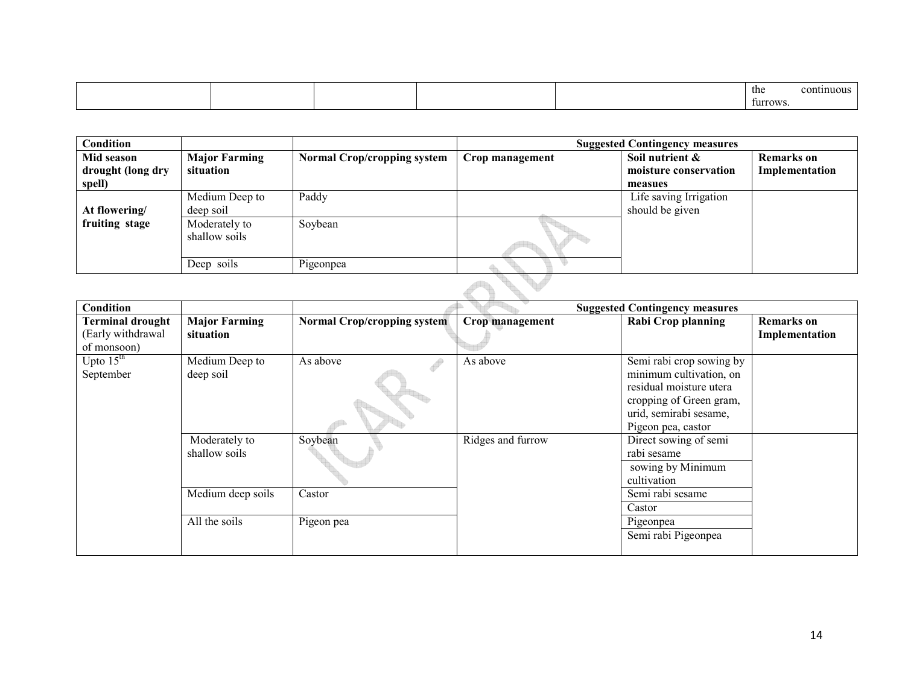|  |  | the      | pntinuous |
|--|--|----------|-----------|
|  |  | furrows. |           |

| Condition         |                      |                                    |                 | <b>Suggested Contingency measures</b> |                   |
|-------------------|----------------------|------------------------------------|-----------------|---------------------------------------|-------------------|
| Mid season        | <b>Major Farming</b> | <b>Normal Crop/cropping system</b> | Crop management | Soil nutrient &                       | <b>Remarks</b> on |
| drought (long dry | situation            |                                    |                 | moisture conservation                 | Implementation    |
| spell)            |                      |                                    |                 | measues                               |                   |
|                   | Medium Deep to       | Paddy                              |                 | Life saving Irrigation                |                   |
| At flowering/     | deep soil            |                                    |                 | should be given                       |                   |
| fruiting stage    | Moderately to        | Soybean                            |                 |                                       |                   |
|                   | shallow soils        |                                    |                 |                                       |                   |
|                   |                      |                                    |                 |                                       |                   |
|                   | Deep soils           | Pigeonpea                          |                 |                                       |                   |
|                   |                      |                                    |                 |                                       |                   |

| Condition                                                   |                                   |                                    |                   | <b>Suggested Contingency measures</b>                                                                                                                     |                                     |
|-------------------------------------------------------------|-----------------------------------|------------------------------------|-------------------|-----------------------------------------------------------------------------------------------------------------------------------------------------------|-------------------------------------|
| <b>Terminal drought</b><br>(Early withdrawal<br>of monsoon) | <b>Major Farming</b><br>situation | <b>Normal Crop/cropping system</b> | Crop management   | Rabi Crop planning                                                                                                                                        | <b>Remarks</b> on<br>Implementation |
| Upto $15th$<br>September                                    | Medium Deep to<br>deep soil       | As above                           | As above          | Semi rabi crop sowing by<br>minimum cultivation, on<br>residual moisture utera<br>cropping of Green gram,<br>urid, semirabi sesame,<br>Pigeon pea, castor |                                     |
|                                                             | Moderately to<br>shallow soils    | Soybean                            | Ridges and furrow | Direct sowing of semi<br>rabi sesame<br>sowing by Minimum<br>cultivation                                                                                  |                                     |
|                                                             | Medium deep soils                 | Castor                             |                   | Semi rabi sesame<br>Castor                                                                                                                                |                                     |
|                                                             | All the soils                     | Pigeon pea                         |                   | Pigeonpea<br>Semi rabi Pigeonpea                                                                                                                          |                                     |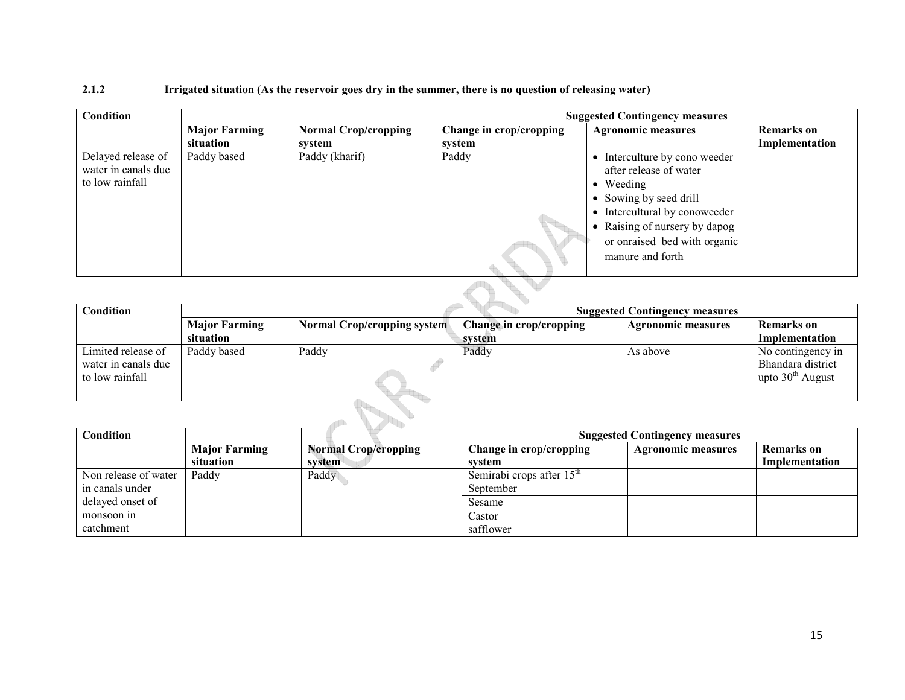# 2.1.2 Irrigated situation (As the reservoir goes dry in the summer, there is no question of releasing water)

| <b>Condition</b>                                             |                      |                             | <b>Suggested Contingency measures</b> |                                                                                                                                                                                                                              |                   |  |  |
|--------------------------------------------------------------|----------------------|-----------------------------|---------------------------------------|------------------------------------------------------------------------------------------------------------------------------------------------------------------------------------------------------------------------------|-------------------|--|--|
|                                                              | <b>Major Farming</b> | <b>Normal Crop/cropping</b> | Change in crop/cropping               | <b>Agronomic measures</b>                                                                                                                                                                                                    | <b>Remarks</b> on |  |  |
|                                                              | situation            | system                      | system                                |                                                                                                                                                                                                                              | Implementation    |  |  |
| Delayed release of<br>water in canals due<br>to low rainfall | Paddy based          | Paddy (kharif)              | Paddy                                 | • Interculture by cono weeder<br>after release of water<br>$\bullet$ Weeding<br>• Sowing by seed drill<br>• Intercultural by conoweeder<br>• Raising of nursery by dapog<br>or onraised bed with organic<br>manure and forth |                   |  |  |
|                                                              |                      |                             |                                       |                                                                                                                                                                                                                              |                   |  |  |

| <b>Condition</b>                                             |                      |                                    | <b>Suggested Contingency measures</b> |                           |                                                              |  |
|--------------------------------------------------------------|----------------------|------------------------------------|---------------------------------------|---------------------------|--------------------------------------------------------------|--|
|                                                              | <b>Major Farming</b> | <b>Normal Crop/cropping system</b> | Change in crop/cropping               | <b>Agronomic measures</b> | <b>Remarks</b> on                                            |  |
|                                                              | situation            |                                    | svstem                                |                           | Implementation                                               |  |
| Limited release of<br>water in canals due<br>to low rainfall | Paddy based          | Paddy                              | Paddy                                 | As above                  | No contingency in<br>Bhandara district<br>upto $30th$ August |  |
|                                                              |                      |                                    |                                       |                           |                                                              |  |

| Condition            |                      |                             |                             | <b>Suggested Contingency measures</b> |                   |  |  |
|----------------------|----------------------|-----------------------------|-----------------------------|---------------------------------------|-------------------|--|--|
|                      | <b>Major Farming</b> | <b>Normal Crop/cropping</b> | Change in crop/cropping     | <b>Agronomic measures</b>             | <b>Remarks</b> on |  |  |
|                      | situation            | system                      | system                      |                                       | Implementation    |  |  |
| Non release of water | Paddy                | Paddy                       | Semirabi crops after $15th$ |                                       |                   |  |  |
| in canals under      |                      |                             | September                   |                                       |                   |  |  |
| delayed onset of     |                      |                             | Sesame                      |                                       |                   |  |  |
| monsoon in           |                      |                             | Castor                      |                                       |                   |  |  |
| catchment            |                      |                             | safflower                   |                                       |                   |  |  |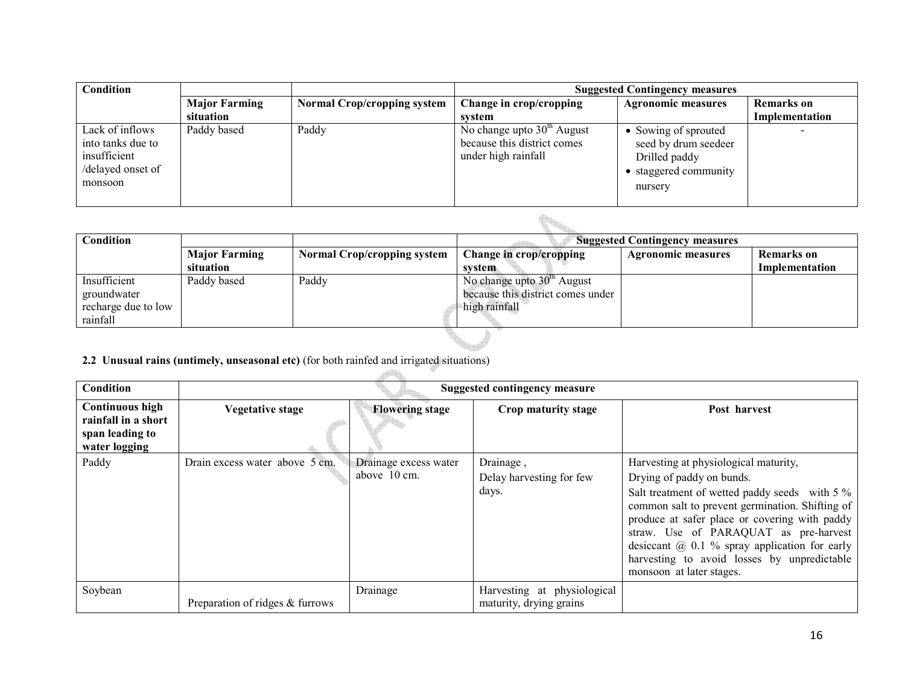| Condition                                                                            |                      |                                    | <b>Suggested Contingency measures</b>                                              |                                                                                                   |                          |
|--------------------------------------------------------------------------------------|----------------------|------------------------------------|------------------------------------------------------------------------------------|---------------------------------------------------------------------------------------------------|--------------------------|
|                                                                                      | <b>Major Farming</b> | <b>Normal Crop/cropping system</b> | Change in crop/cropping                                                            | <b>Agronomic measures</b>                                                                         | <b>Remarks</b> on        |
|                                                                                      | situation            |                                    | system                                                                             |                                                                                                   | Implementation           |
| Lack of inflows<br>into tanks due to<br>insufficient<br>/delayed onset of<br>monsoon | Paddy based          | Paddy                              | No change upto $30th$ August<br>because this district comes<br>under high rainfall | • Sowing of sprouted<br>seed by drum seedeer<br>Drilled paddy<br>• staggered community<br>nursery | $\overline{\phantom{0}}$ |

| Condition           |                      |                                    |                                   | <b>Suggested Contingency measures</b> |                |
|---------------------|----------------------|------------------------------------|-----------------------------------|---------------------------------------|----------------|
|                     | <b>Major Farming</b> | <b>Normal Crop/cropping system</b> | Change in crop/cropping           | <b>Agronomic measures</b>             | Remarks on     |
|                     | situation            |                                    | system.                           |                                       | Implementation |
| Insufficient        | Paddy based          | Paddy                              | No change upto $30th$ August      |                                       |                |
| groundwater         |                      |                                    | because this district comes under |                                       |                |
| recharge due to low |                      |                                    | high rainfall                     |                                       |                |
| rainfall            |                      |                                    |                                   |                                       |                |

#### 2.2 Unusual rains (untimely, unseasonal etc) (for both rainfed and irrigated situations)

| Condition                                                                  |                                 | Suggested contingency measure         |                                                        |                                                                                                                                                                                                                                                                                                                                                                                                  |  |  |  |
|----------------------------------------------------------------------------|---------------------------------|---------------------------------------|--------------------------------------------------------|--------------------------------------------------------------------------------------------------------------------------------------------------------------------------------------------------------------------------------------------------------------------------------------------------------------------------------------------------------------------------------------------------|--|--|--|
| Continuous high<br>rainfall in a short<br>span leading to<br>water logging | <b>Vegetative stage</b>         | <b>Flowering stage</b>                | Crop maturity stage                                    | Post harvest                                                                                                                                                                                                                                                                                                                                                                                     |  |  |  |
| Paddy                                                                      | Drain excess water above 5 cm.  | Drainage excess water<br>above 10 cm. | Drainage,<br>Delay harvesting for few<br>days.         | Harvesting at physiological maturity,<br>Drying of paddy on bunds.<br>Salt treatment of wetted paddy seeds with 5 %<br>common salt to prevent germination. Shifting of<br>produce at safer place or covering with paddy<br>straw. Use of PARAQUAT as pre-harvest<br>desiceant $(a)$ 0.1 % spray application for early<br>harvesting to avoid losses by unpredictable<br>monsoon at later stages. |  |  |  |
| Soybean                                                                    | Preparation of ridges & furrows | Drainage                              | Harvesting at physiological<br>maturity, drying grains |                                                                                                                                                                                                                                                                                                                                                                                                  |  |  |  |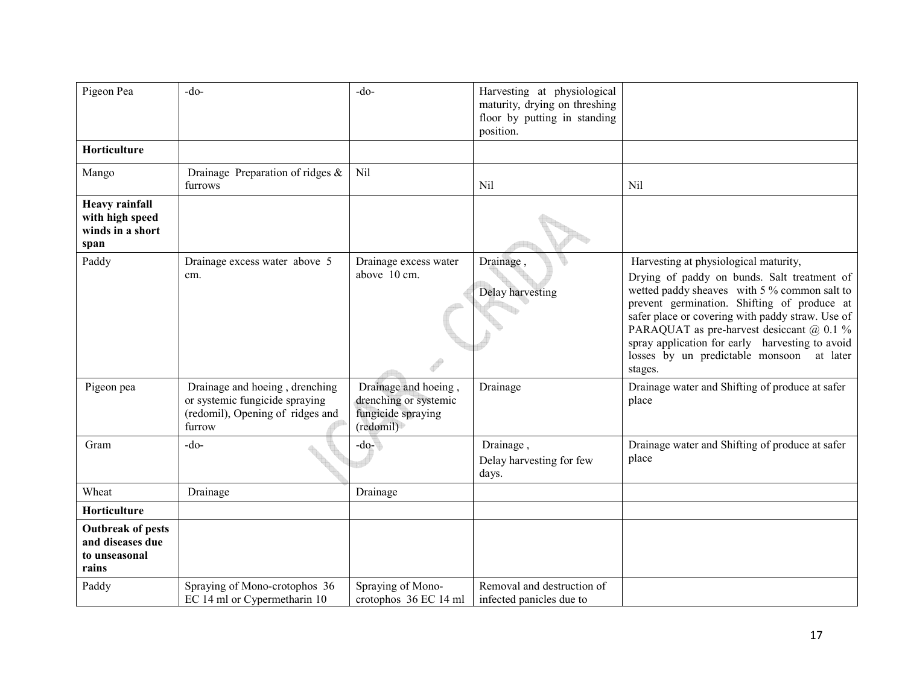| Pigeon Pea                                                             | $-do$                                                                                                          | $-do$                                                                            | Harvesting at physiological<br>maturity, drying on threshing<br>floor by putting in standing<br>position. |                                                                                                                                                                                                                                                                                                                                                                                                    |
|------------------------------------------------------------------------|----------------------------------------------------------------------------------------------------------------|----------------------------------------------------------------------------------|-----------------------------------------------------------------------------------------------------------|----------------------------------------------------------------------------------------------------------------------------------------------------------------------------------------------------------------------------------------------------------------------------------------------------------------------------------------------------------------------------------------------------|
| Horticulture                                                           |                                                                                                                |                                                                                  |                                                                                                           |                                                                                                                                                                                                                                                                                                                                                                                                    |
| Mango                                                                  | Drainage Preparation of ridges &<br>furrows                                                                    | Nil                                                                              | Nil                                                                                                       | Nil                                                                                                                                                                                                                                                                                                                                                                                                |
| <b>Heavy rainfall</b><br>with high speed<br>winds in a short<br>span   |                                                                                                                |                                                                                  |                                                                                                           |                                                                                                                                                                                                                                                                                                                                                                                                    |
| Paddy                                                                  | Drainage excess water above 5<br>cm.                                                                           | Drainage excess water<br>above 10 cm.                                            | Drainage,<br>Delay harvesting                                                                             | Harvesting at physiological maturity,<br>Drying of paddy on bunds. Salt treatment of<br>wetted paddy sheaves with 5 % common salt to<br>prevent germination. Shifting of produce at<br>safer place or covering with paddy straw. Use of<br>PARAQUAT as pre-harvest desiccant @ 0.1 %<br>spray application for early harvesting to avoid<br>losses by un predictable monsoon<br>at later<br>stages. |
| Pigeon pea                                                             | Drainage and hoeing, drenching<br>or systemic fungicide spraying<br>(redomil), Opening of ridges and<br>furrow | Drainage and hoeing,<br>drenching or systemic<br>fungicide spraying<br>(redomil) | Drainage                                                                                                  | Drainage water and Shifting of produce at safer<br>place                                                                                                                                                                                                                                                                                                                                           |
| Gram                                                                   | $-do-$                                                                                                         | $-do-$                                                                           | Drainage,<br>Delay harvesting for few<br>days.                                                            | Drainage water and Shifting of produce at safer<br>place                                                                                                                                                                                                                                                                                                                                           |
| Wheat                                                                  | Drainage                                                                                                       | Drainage                                                                         |                                                                                                           |                                                                                                                                                                                                                                                                                                                                                                                                    |
| Horticulture                                                           |                                                                                                                |                                                                                  |                                                                                                           |                                                                                                                                                                                                                                                                                                                                                                                                    |
| <b>Outbreak of pests</b><br>and diseases due<br>to unseasonal<br>rains |                                                                                                                |                                                                                  |                                                                                                           |                                                                                                                                                                                                                                                                                                                                                                                                    |
| Paddy                                                                  | Spraying of Mono-crotophos 36<br>EC 14 ml or Cypermetharin 10                                                  | Spraying of Mono-<br>crotophos 36 EC 14 ml                                       | Removal and destruction of<br>infected panicles due to                                                    |                                                                                                                                                                                                                                                                                                                                                                                                    |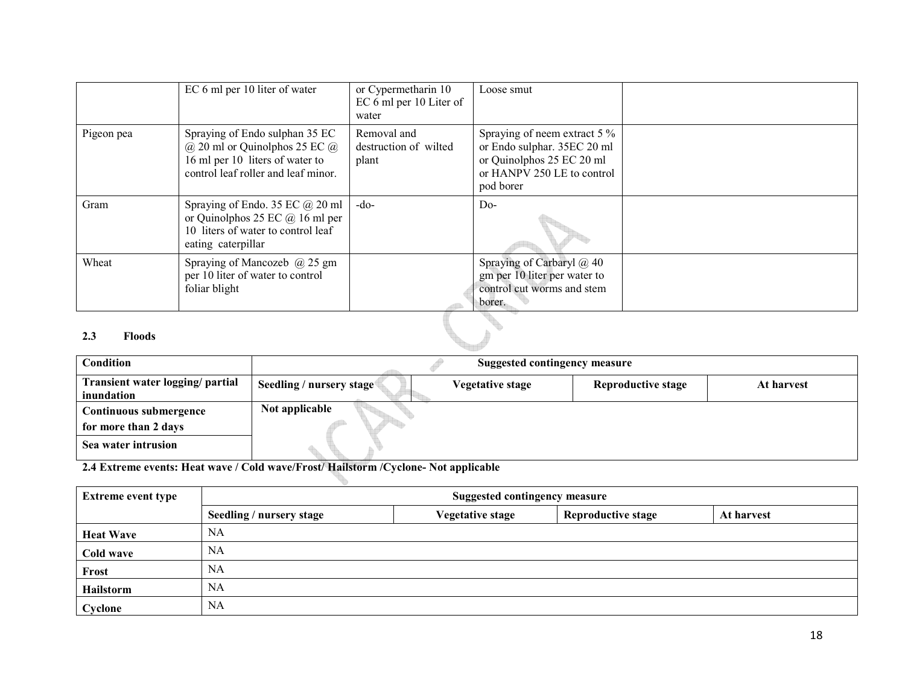|            | EC 6 ml per 10 liter of water                                                                                                                     | or Cypermetharin 10<br>EC 6 ml per 10 Liter of<br>water | Loose smut                                                                                                                          |  |
|------------|---------------------------------------------------------------------------------------------------------------------------------------------------|---------------------------------------------------------|-------------------------------------------------------------------------------------------------------------------------------------|--|
| Pigeon pea | Spraying of Endo sulphan 35 EC<br>$(a)$ 20 ml or Quinolphos 25 EC $(a)$<br>16 ml per 10 liters of water to<br>control leaf roller and leaf minor. | Removal and<br>destruction of wilted<br>plant           | Spraying of neem extract 5 %<br>or Endo sulphar. 35EC 20 ml<br>or Quinolphos 25 EC 20 ml<br>or HANPV 250 LE to control<br>pod borer |  |
| Gram       | Spraying of Endo. 35 EC $@$ 20 ml<br>or Quinolphos 25 EC $\omega$ 16 ml per<br>10 liters of water to control leaf<br>eating caterpillar           | $-do-$                                                  | $Do-$                                                                                                                               |  |
| Wheat      | Spraying of Mancozeb $(a)$ 25 gm<br>per 10 liter of water to control<br>foliar blight                                                             |                                                         | Spraying of Carbaryl @ 40<br>gm per 10 liter per water to<br>control cut worms and stem<br>borer.                                   |  |
|            |                                                                                                                                                   |                                                         |                                                                                                                                     |  |

#### 2.3 Floods

| Condition                                      | Suggested contingency measure |                         |                           |            |
|------------------------------------------------|-------------------------------|-------------------------|---------------------------|------------|
| Transient water logging/ partial<br>inundation | Seedling / nursery stage      | <b>Vegetative stage</b> | <b>Reproductive stage</b> | At harvest |
|                                                |                               |                         |                           |            |
| Continuous submergence                         | Not applicable                |                         |                           |            |
| for more than 2 days                           |                               |                         |                           |            |
| Sea water intrusion                            |                               |                         |                           |            |

2.4 Extreme events: Heat wave / Cold wave/Frost/ Hailstorm /Cyclone- Not applicable

| <b>Extreme event type</b> | <b>Suggested contingency measure</b> |                         |                           |            |
|---------------------------|--------------------------------------|-------------------------|---------------------------|------------|
|                           | Seedling / nursery stage             | <b>Vegetative stage</b> | <b>Reproductive stage</b> | At harvest |
| <b>Heat Wave</b>          | <b>NA</b>                            |                         |                           |            |
| Cold wave                 | <b>NA</b>                            |                         |                           |            |
| Frost                     | NA                                   |                         |                           |            |
| Hailstorm                 | NA                                   |                         |                           |            |
| Cyclone                   | NA                                   |                         |                           |            |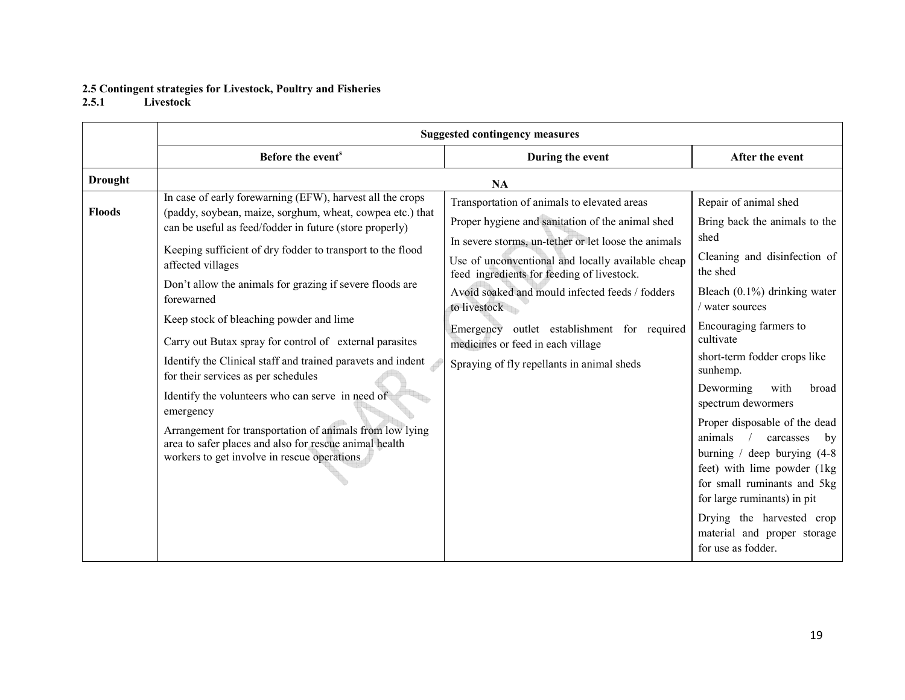# 2.5 Contingent strategies for Livestock, Poultry and Fisheries 2.5.1 Livestock

|                | <b>Suggested contingency measures</b>                                                                                                                                                                                                                                                                                                                                                                                                                                                                                                                                                                                                                                                                                                                                                            |                                                                                                                                                                                                                                                                                                                                                                                                                                                                 |                                                                                                                                                                                                                                                                                                                                                                                                                                                                                                                                                                                                         |
|----------------|--------------------------------------------------------------------------------------------------------------------------------------------------------------------------------------------------------------------------------------------------------------------------------------------------------------------------------------------------------------------------------------------------------------------------------------------------------------------------------------------------------------------------------------------------------------------------------------------------------------------------------------------------------------------------------------------------------------------------------------------------------------------------------------------------|-----------------------------------------------------------------------------------------------------------------------------------------------------------------------------------------------------------------------------------------------------------------------------------------------------------------------------------------------------------------------------------------------------------------------------------------------------------------|---------------------------------------------------------------------------------------------------------------------------------------------------------------------------------------------------------------------------------------------------------------------------------------------------------------------------------------------------------------------------------------------------------------------------------------------------------------------------------------------------------------------------------------------------------------------------------------------------------|
|                | Before the event <sup>s</sup>                                                                                                                                                                                                                                                                                                                                                                                                                                                                                                                                                                                                                                                                                                                                                                    | During the event                                                                                                                                                                                                                                                                                                                                                                                                                                                | After the event                                                                                                                                                                                                                                                                                                                                                                                                                                                                                                                                                                                         |
| <b>Drought</b> |                                                                                                                                                                                                                                                                                                                                                                                                                                                                                                                                                                                                                                                                                                                                                                                                  | <b>NA</b>                                                                                                                                                                                                                                                                                                                                                                                                                                                       |                                                                                                                                                                                                                                                                                                                                                                                                                                                                                                                                                                                                         |
| <b>Floods</b>  | In case of early forewarning (EFW), harvest all the crops<br>(paddy, soybean, maize, sorghum, wheat, cowpea etc.) that<br>can be useful as feed/fodder in future (store properly)<br>Keeping sufficient of dry fodder to transport to the flood<br>affected villages<br>Don't allow the animals for grazing if severe floods are<br>forewarned<br>Keep stock of bleaching powder and lime<br>Carry out Butax spray for control of external parasites<br>Identify the Clinical staff and trained paravets and indent<br>for their services as per schedules<br>Identify the volunteers who can serve in need of<br>emergency<br>Arrangement for transportation of animals from low lying<br>area to safer places and also for rescue animal health<br>workers to get involve in rescue operations | Transportation of animals to elevated areas<br>Proper hygiene and sanitation of the animal shed<br>In severe storms, un-tether or let loose the animals<br>Use of unconventional and locally available cheap<br>feed ingredients for feeding of livestock.<br>Avoid soaked and mould infected feeds / fodders<br>to livestock<br>Emergency outlet establishment for required<br>medicines or feed in each village<br>Spraying of fly repellants in animal sheds | Repair of animal shed<br>Bring back the animals to the<br>shed<br>Cleaning and disinfection of<br>the shed<br>Bleach $(0.1\%)$ drinking water<br>water sources<br>Encouraging farmers to<br>cultivate<br>short-term fodder crops like<br>sunhemp.<br>Deworming<br>with<br>broad<br>spectrum dewormers<br>Proper disposable of the dead<br>animals<br>$\frac{1}{2}$<br>carcasses<br>by<br>burning / deep burying $(4-8)$<br>feet) with lime powder (1kg)<br>for small ruminants and 5kg<br>for large ruminants) in pit<br>Drying the harvested crop<br>material and proper storage<br>for use as fodder. |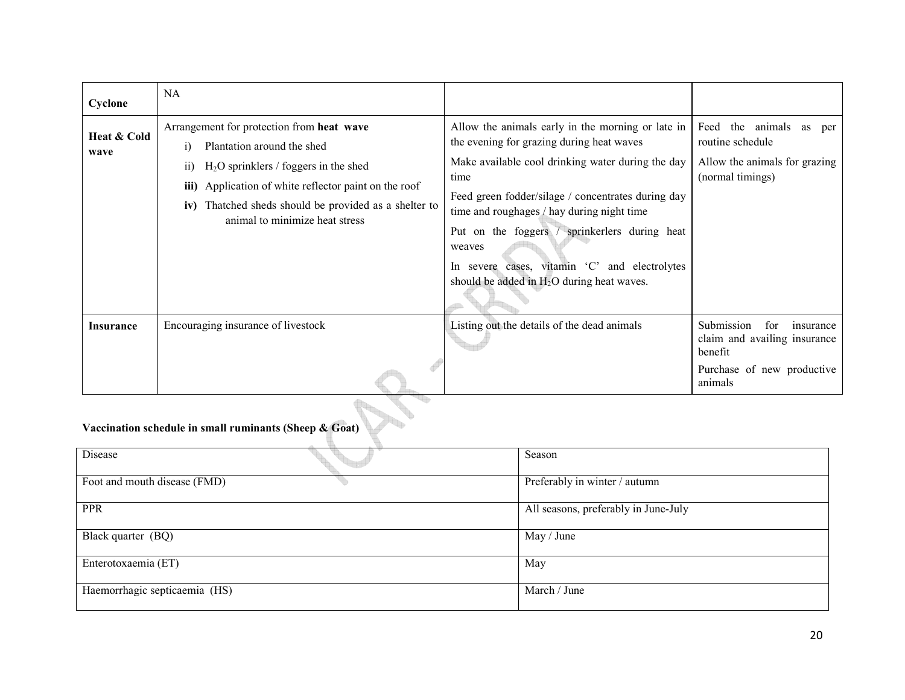| Cyclone             | NA.                                                                                                                                                                                                                                                                                       |                                                                                                                                                                                                                                                                                                                                                                                                                          |                                                                                                                    |
|---------------------|-------------------------------------------------------------------------------------------------------------------------------------------------------------------------------------------------------------------------------------------------------------------------------------------|--------------------------------------------------------------------------------------------------------------------------------------------------------------------------------------------------------------------------------------------------------------------------------------------------------------------------------------------------------------------------------------------------------------------------|--------------------------------------------------------------------------------------------------------------------|
| Heat & Cold<br>wave | Arrangement for protection from heat wave<br>Plantation around the shed<br>$_{1}$<br>$H2O$ sprinklers / foggers in the shed<br>11)<br>Application of white reflector paint on the roof<br>iii)<br>iv) Thatched sheds should be provided as a shelter to<br>animal to minimize heat stress | Allow the animals early in the morning or late in<br>the evening for grazing during heat waves<br>Make available cool drinking water during the day<br>time<br>Feed green fodder/silage / concentrates during day<br>time and roughages / hay during night time<br>Put on the foggers / sprinkerlers during heat<br>weaves<br>severe cases, vitamin 'C' and electrolytes<br>should be added in $H_2O$ during heat waves. | Feed the animals as per<br>routine schedule<br>Allow the animals for grazing<br>(normal timings)                   |
| <b>Insurance</b>    | Encouraging insurance of livestock                                                                                                                                                                                                                                                        | Listing out the details of the dead animals                                                                                                                                                                                                                                                                                                                                                                              | Submission<br>for<br>insurance<br>claim and availing insurance<br>benefit<br>Purchase of new productive<br>animals |

#### Vaccination schedule in small ruminants (Sheep & Goat)

| Disease                       | Season                               |
|-------------------------------|--------------------------------------|
| Foot and mouth disease (FMD)  | Preferably in winter / autumn        |
| <b>PPR</b>                    | All seasons, preferably in June-July |
| Black quarter (BQ)            | May / June                           |
| Enterotoxaemia (ET)           | May                                  |
| Haemorrhagic septicaemia (HS) | March / June                         |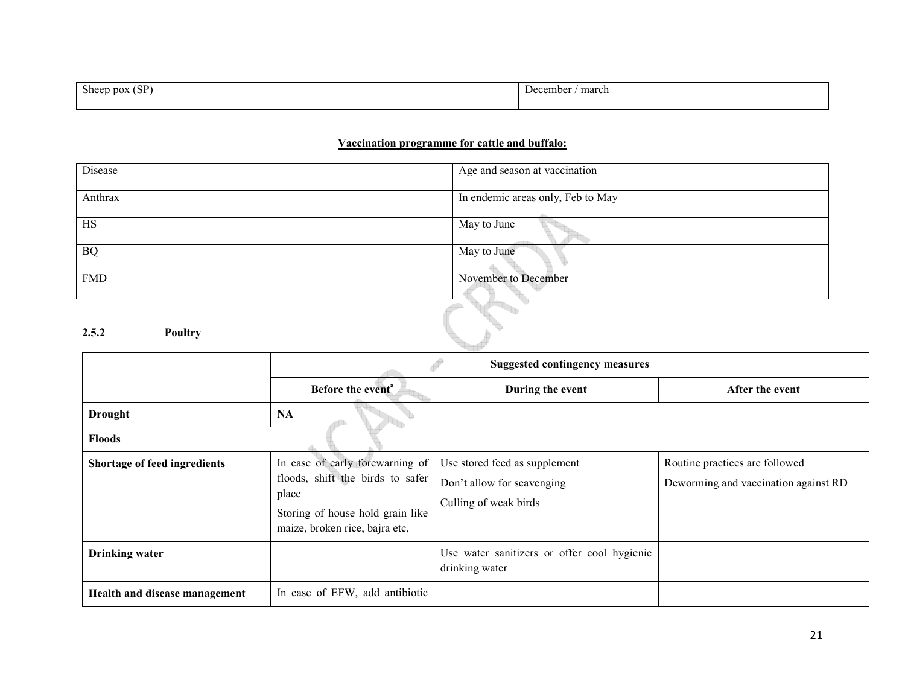| Sheep pox $(SP)$ | ' march<br>December - |
|------------------|-----------------------|
|                  |                       |

# Vaccination programme for cattle and buffalo:

| Disease    | Age and season at vaccination     |
|------------|-----------------------------------|
| Anthrax    | In endemic areas only, Feb to May |
| HS         | May to June                       |
| <b>BQ</b>  | May to June                       |
| <b>FMD</b> | November to December              |

## 2.5.2 Poultry

|                               | <b>Suggested contingency measures</b>                                                                                                              |                                                                                      |                                                                        |
|-------------------------------|----------------------------------------------------------------------------------------------------------------------------------------------------|--------------------------------------------------------------------------------------|------------------------------------------------------------------------|
|                               | Before the event <sup>a</sup>                                                                                                                      | During the event                                                                     | After the event                                                        |
| <b>Drought</b>                | <b>NA</b>                                                                                                                                          |                                                                                      |                                                                        |
| <b>Floods</b>                 |                                                                                                                                                    |                                                                                      |                                                                        |
| Shortage of feed ingredients  | In case of early forewarning of<br>floods, shift the birds to safer<br>place<br>Storing of house hold grain like<br>maize, broken rice, bajra etc, | Use stored feed as supplement<br>Don't allow for scavenging<br>Culling of weak birds | Routine practices are followed<br>Deworming and vaccination against RD |
| <b>Drinking water</b>         |                                                                                                                                                    | Use water sanitizers or offer cool hygienic<br>drinking water                        |                                                                        |
| Health and disease management | In case of EFW, add antibiotic                                                                                                                     |                                                                                      |                                                                        |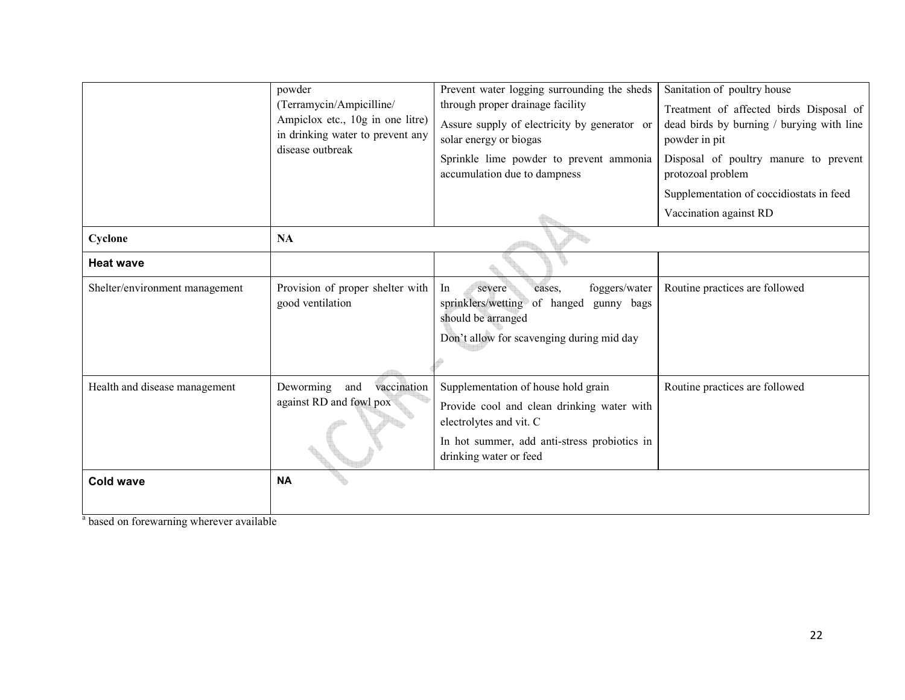|                                | powder<br>(Terramycin/Ampicilline/<br>Ampiclox etc., 10g in one litre)<br>in drinking water to prevent any<br>disease outbreak | Prevent water logging surrounding the sheds<br>through proper drainage facility<br>Assure supply of electricity by generator or<br>solar energy or biogas<br>Sprinkle lime powder to prevent ammonia<br>accumulation due to dampness | Sanitation of poultry house<br>Treatment of affected birds Disposal of<br>dead birds by burning / burying with line<br>powder in pit<br>Disposal of poultry manure to prevent<br>protozoal problem<br>Supplementation of coccidiostats in feed<br>Vaccination against RD |
|--------------------------------|--------------------------------------------------------------------------------------------------------------------------------|--------------------------------------------------------------------------------------------------------------------------------------------------------------------------------------------------------------------------------------|--------------------------------------------------------------------------------------------------------------------------------------------------------------------------------------------------------------------------------------------------------------------------|
| Cyclone                        | NA                                                                                                                             |                                                                                                                                                                                                                                      |                                                                                                                                                                                                                                                                          |
| <b>Heat wave</b>               |                                                                                                                                |                                                                                                                                                                                                                                      |                                                                                                                                                                                                                                                                          |
| Shelter/environment management | Provision of proper shelter with<br>good ventilation                                                                           | foggers/water<br>In<br>severe<br>cases,<br>sprinklers/wetting<br>of hanged<br>gunny bags<br>should be arranged<br>Don't allow for scavenging during mid day                                                                          | Routine practices are followed                                                                                                                                                                                                                                           |
| Health and disease management  | vaccination<br>Deworming<br>and<br>against RD and fowl pox                                                                     | Supplementation of house hold grain<br>Provide cool and clean drinking water with<br>electrolytes and vit. C<br>In hot summer, add anti-stress probiotics in<br>drinking water or feed                                               | Routine practices are followed                                                                                                                                                                                                                                           |
| <b>Cold wave</b>               | <b>NA</b>                                                                                                                      |                                                                                                                                                                                                                                      |                                                                                                                                                                                                                                                                          |

<sup>a</sup> based on forewarning wherever available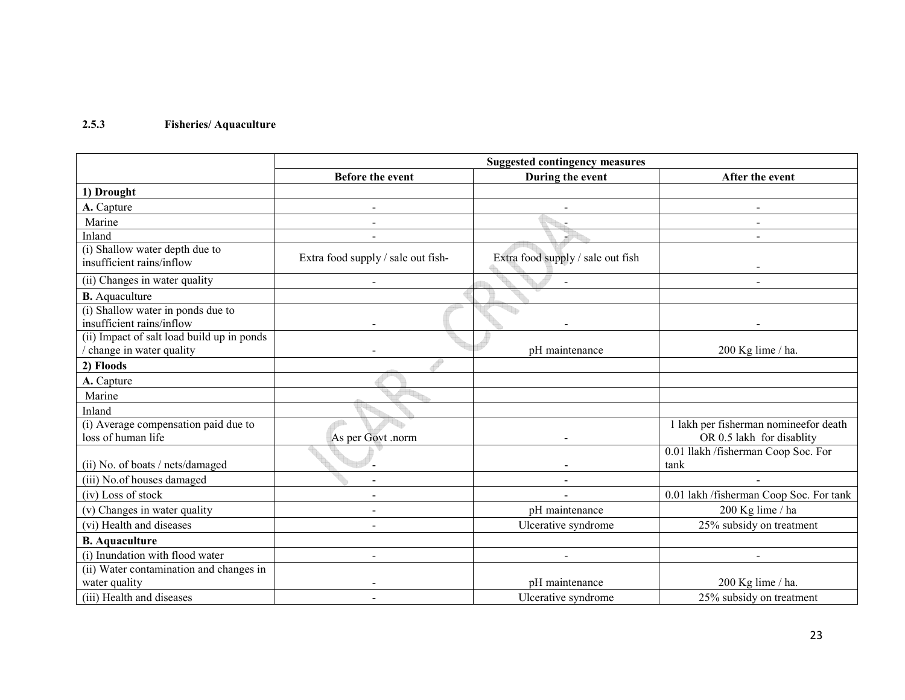# 2.5.3 Fisheries/ Aquaculture

|                                                                       | <b>Suggested contingency measures</b> |                                   |                                                                    |
|-----------------------------------------------------------------------|---------------------------------------|-----------------------------------|--------------------------------------------------------------------|
|                                                                       | <b>Before the event</b>               | During the event                  | After the event                                                    |
| 1) Drought                                                            |                                       |                                   |                                                                    |
| A. Capture                                                            |                                       |                                   |                                                                    |
| Marine                                                                |                                       |                                   |                                                                    |
| Inland                                                                |                                       | J                                 |                                                                    |
| (i) Shallow water depth due to<br>insufficient rains/inflow           | Extra food supply / sale out fish-    | Extra food supply / sale out fish |                                                                    |
| (ii) Changes in water quality                                         | $\blacksquare$                        | $\blacksquare$                    |                                                                    |
| <b>B.</b> Aquaculture                                                 |                                       |                                   |                                                                    |
| (i) Shallow water in ponds due to<br>insufficient rains/inflow        |                                       |                                   |                                                                    |
| (ii) Impact of salt load build up in ponds<br>change in water quality |                                       | pH maintenance                    | 200 Kg lime / ha.                                                  |
| 2) Floods                                                             |                                       |                                   |                                                                    |
| A. Capture                                                            |                                       |                                   |                                                                    |
| Marine                                                                |                                       |                                   |                                                                    |
| Inland                                                                |                                       |                                   |                                                                    |
| (i) Average compensation paid due to<br>loss of human life            | As per Govt .norm                     |                                   | 1 lakh per fisherman nomineefor death<br>OR 0.5 lakh for disablity |
| (ii) No. of boats / nets/damaged                                      |                                       |                                   | 0.01 llakh /fisherman Coop Soc. For<br>tank                        |
| (iii) No.of houses damaged                                            |                                       |                                   |                                                                    |
| (iv) Loss of stock                                                    |                                       |                                   | 0.01 lakh /fisherman Coop Soc. For tank                            |
| (v) Changes in water quality                                          |                                       | pH maintenance                    | 200 Kg lime / ha                                                   |
| (vi) Health and diseases                                              |                                       | Ulcerative syndrome               | 25% subsidy on treatment                                           |
| <b>B.</b> Aquaculture                                                 |                                       |                                   |                                                                    |
| (i) Inundation with flood water                                       | $\overline{\phantom{a}}$              |                                   |                                                                    |
| (ii) Water contamination and changes in<br>water quality              |                                       | pH maintenance                    | 200 Kg lime / ha.                                                  |
| (iii) Health and diseases                                             |                                       | Ulcerative syndrome               | 25% subsidy on treatment                                           |